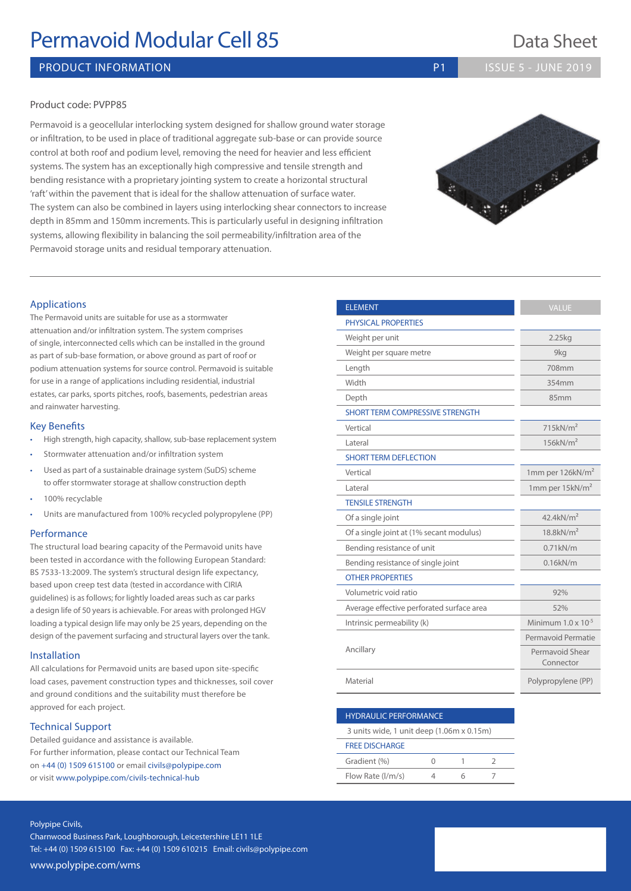# **Permavoid Modular Cell 85** Data Sheet

# PRODUCT INFORMATION **PRODUCT INFORMATION P1 ISSUE 5 - JUNE 2019**

### Product code: PVPP85

Permavoid is a geocellular interlocking system designed for shallow ground water storage or infiltration, to be used in place of traditional aggregate sub-base or can provide source control at both roof and podium level, removing the need for heavier and less efficient systems. The system has an exceptionally high compressive and tensile strength and bending resistance with a proprietary jointing system to create a horizontal structural 'raft' within the pavement that is ideal for the shallow attenuation of surface water. The system can also be combined in layers using interlocking shear connectors to increase depth in 85mm and 150mm increments. This is particularly useful in designing infiltration systems, allowing flexibility in balancing the soil permeability/infiltration area of the Permavoid storage units and residual temporary attenuation.

# The Permavoid units are suitable for use as a stormwater attenuation and/or infiltration system. The system comprises of single, interconnected cells which can be installed in the ground as part of sub-base formation, or above ground as part of roof or podium attenuation systems for source control. Permavoid is suitable for use in a range of applications including residential, industrial estates, car parks, sports pitches, roofs, basements, pedestrian areas

#### Key Benefits

and rainwater harvesting.

Applications

- High strength, high capacity, shallow, sub-base replacement system
- Stormwater attenuation and/or infiltration system
- Used as part of a sustainable drainage system (SuDS) scheme to offer stormwater storage at shallow construction depth
- 100% recyclable
- Units are manufactured from 100% recycled polypropylene (PP)

#### **Performance**

The structural load bearing capacity of the Permavoid units have been tested in accordance with the following European Standard: BS 7533-13:2009. The system's structural design life expectancy, based upon creep test data (tested in accordance with CIRIA guidelines) is as follows; for lightly loaded areas such as car parks a design life of 50 years is achievable. For areas with prolonged HGV loading a typical design life may only be 25 years, depending on the design of the pavement surfacing and structural layers over the tank.

#### Installation

All calculations for Permavoid units are based upon site-specific load cases, pavement construction types and thicknesses, soil cover and ground conditions and the suitability must therefore be approved for each project.

### Technical Support

Detailed guidance and assistance is available. For further information, please contact our Technical Team on +44 (0) 1509 615100 or email civils@polypipe.com or visit www.polypipe.com/civils-technical-hub

| <b>ELEMENT</b>                            | <b>VALUE</b>                 |  |  |  |  |
|-------------------------------------------|------------------------------|--|--|--|--|
| <b>PHYSICAL PROPERTIES</b>                |                              |  |  |  |  |
| Weight per unit                           | 2.25kg                       |  |  |  |  |
| Weight per square metre                   | 9kg                          |  |  |  |  |
| Length                                    | 708mm                        |  |  |  |  |
| Width                                     | 354mm                        |  |  |  |  |
| Depth                                     | 85mm                         |  |  |  |  |
| <b>SHORT TERM COMPRESSIVE STRENGTH</b>    |                              |  |  |  |  |
| Vertical                                  | 715kN/m <sup>2</sup>         |  |  |  |  |
| Lateral                                   | 156kN/m <sup>2</sup>         |  |  |  |  |
| <b>SHORT TERM DEFLECTION</b>              |                              |  |  |  |  |
| Vertical                                  | 1mm per 126kN/m <sup>2</sup> |  |  |  |  |
| Lateral                                   | 1mm per $15kN/m2$            |  |  |  |  |
| <b>TENSILE STRENGTH</b>                   |                              |  |  |  |  |
| Of a single joint                         | $42.4$ kN/m <sup>2</sup>     |  |  |  |  |
| Of a single joint at (1% secant modulus)  | $18.8$ kN/m <sup>2</sup>     |  |  |  |  |
| Bending resistance of unit                | $0.71$ k $N/m$               |  |  |  |  |
| Bending resistance of single joint        | $0.16$ k $N/m$               |  |  |  |  |
| <b>OTHER PROPERTIES</b>                   |                              |  |  |  |  |
| Volumetric void ratio                     | 92%                          |  |  |  |  |
| Average effective perforated surface area | 52%                          |  |  |  |  |
| Intrinsic permeability (k)                | Minimum $1.0 \times 10^{-5}$ |  |  |  |  |
|                                           | Permavoid Permatie           |  |  |  |  |
| Ancillary                                 | Permavoid Shear<br>Connector |  |  |  |  |
| Material                                  | Polypropylene (PP)           |  |  |  |  |

### HYDRAULIC PERFORMANCE

3 units wide, 1 unit deep (1.06m x 0.15m)

| <b>FREE DISCHARGE</b> |  |  |  |  |  |  |  |  |  |
|-----------------------|--|--|--|--|--|--|--|--|--|
| Gradient (%)          |  |  |  |  |  |  |  |  |  |
| Flow Rate (I/m/s)     |  |  |  |  |  |  |  |  |  |

#### Polypipe Civils,

Charnwood Business Park, Loughborough, Leicestershire LE11 1LE Tel: +44 (0) 1509 615100 Fax: +44 (0) 1509 610215 Email: civils@polypipe.com www.polypipe.com/wms